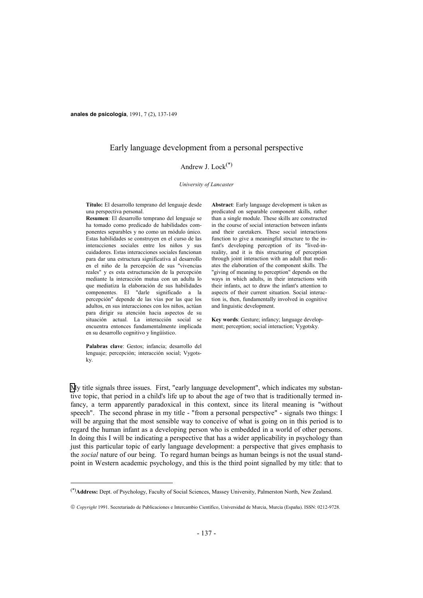**anales de psicología**, 1991, 7 (2), 137-149

# Early language development from a personal perspective

### Andrew J. Lock $(*)$

#### *University of Lancaster*

**Título:** El desarrollo temprano del lenguaje desde una perspectiva personal.

**Resumen**: El desarrollo temprano del lenguaje se ha tomado como predicado de habilidades componentes separables y no como un módulo único. Estas habilidades se construyen en el curso de las interacciones sociales entre los niños y sus cuidadores. Estas interacciones sociales funcionan para dar una estructura significativa al desarrollo en el niño de la percepción de sus "vivencias reales" y es esta estructuración de la percepción mediante la interacción mutua con un adulta lo que mediatiza la elaboración de sus habilidades componentes. El "darle significado a la percepción" depende de las vías por las que los adultos, en sus interacciones con los niños, actúan para dirigir su atención hacia aspectos de su situación actual. La interacción social se encuentra entonces fundamentalmente implicada en su desarrollo cognitivo y lingüístico.

**Palabras clave**: Gestos; infancia; desarrollo del lenguaje; percepción; interacción social; Vygotsky.

i<br>L

**Abstract**: Early language development is taken as predicated on separable component skills, rather than a single module. These skills are constructed in the course of social interaction between infants and their caretakers. These social interactions function to give a meaningful structure to the infant's developing perception of its "lived-inreality, and it is this structuring of perception through joint interaction with an adult that mediates the elaboration of the component skills. The "giving of meaning to perception" depends on the ways in which adults, in their interactions with their infants, act to draw the infant's attention to aspects of their current situation. Social interaction is, then, fundamentally involved in cognitive and linguistic development.

**Key words**: Gesture; infancy; language development; perception; social interaction; Vygotsky.

My title signals three issues. First, "early language development", which indicates my substantive topic, that period in a child's life up to about the age of two that is traditionally termed infancy, a term apparently paradoxical in this context, since its literal meaning is "without speech". The second phrase in my title - "from a personal perspective" - signals two things: I will be arguing that the most sensible way to conceive of what is going on in this period is to regard the human infant as a developing person who is embedded in a world of other persons. In doing this I will be indicating a perspective that has a wider applicability in psychology than just this particular topic of early language development: a perspective that gives emphasis to the *social* nature of our being. To regard human beings as human beings is not the usual standpoint in Western academic psychology, and this is the third point signalled by my title: that to

<sup>(\*)</sup>**Address:** Dept. of Psychology, Faculty of Social Sciences, Massey University, Palmerston North, New Zealand.

*Copyright* 1991. Secretariado de Publicaciones e Intercambio Científico, Universidad de Murcia, Murcia (España). ISSN: 0212-9728.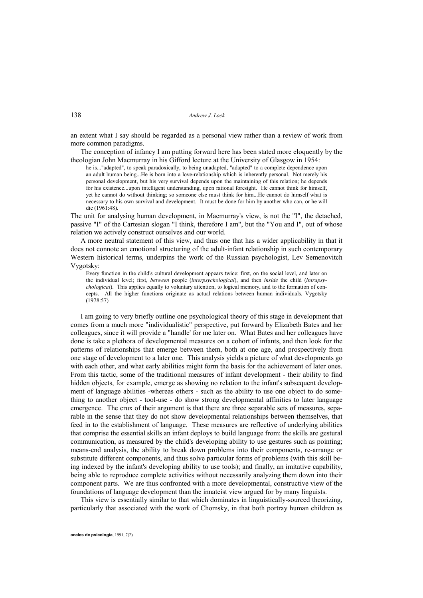an extent what I say should be regarded as a personal view rather than a review of work from more common paradigms.

 The conception of infancy I am putting forward here has been stated more eloquently by the theologian John Macmurray in his Gifford lecture at the University of Glasgow in 1954:

he is..."adapted", to speak paradoxically, to being unadapted, "adapted" to a complete dependence upon an adult human being...He is born into a love-relationship which is inherently personal. Not merely his personal development, but his very survival depends upon the maintaining of this relation; he depends for his existence...upon intelligent understanding, upon rational foresight. He cannot think for himself, yet he cannot do without thinking; so someone else must think for him...He cannot do himself what is necessary to his own survival and development. It must be done for him by another who can, or he will die (1961:48).

The unit for analysing human development, in Macmurray's view, is not the "I", the detached, passive "I" of the Cartesian slogan "I think, therefore I am", but the "You and I", out of whose relation we actively construct ourselves and our world.

 A more neutral statement of this view, and thus one that has a wider applicability in that it does not connote an emotional structuring of the adult-infant relationship in such contemporary Western historical terms, underpins the work of the Russian psychologist, Lev Semenovitch Vygotsky:

Every function in the child's cultural development appears twice: first, on the social level, and later on the individual level; first, *between* people (*interpsychological*), and then *inside* the child (*intrapsychological*). This applies equally to voluntary attention, to logical memory, and to the formation of concepts. All the higher functions originate as actual relations between human individuals. Vygotsky (1978:57)

 I am going to very briefly outline one psychological theory of this stage in development that comes from a much more "individualistic" perspective, put forward by Elizabeth Bates and her colleagues, since it will provide a "handle' for me later on. What Bates and her colleagues have done is take a plethora of developmental measures on a cohort of infants, and then look for the patterns of relationships that emerge between them, both at one age, and prospectively from one stage of development to a later one. This analysis yields a picture of what developments go with each other, and what early abilities might form the basis for the achievement of later ones. From this tactic, some of the traditional measures of infant development - their ability to find hidden objects, for example, emerge as showing no relation to the infant's subsequent development of language abilities -whereas others - such as the ability to use one object to do something to another object - tool-use - do show strong developmental affinities to later language emergence. The crux of their argument is that there are three separable sets of measures, separable in the sense that they do not show developmental relationships between themselves, that feed in to the establishment of language. These measures are reflective of underlying abilities that comprise the essential skills an infant deploys to build language from: the skills are gestural communication, as measured by the child's developing ability to use gestures such as pointing; means-end analysis, the ability to break down problems into their components, re-arrange or substitute different components, and thus solve particular forms of problems (with this skill being indexed by the infant's developing ability to use tools); and finally, an imitative capability, being able to reproduce complete activities without necessarily analyzing them down into their component parts. We are thus confronted with a more developmental, constructive view of the foundations of language development than the innateist view argued for by many linguists.

 This view is essentially similar to that which dominates in linguistically-sourced theorizing, particularly that associated with the work of Chomsky, in that both portray human children as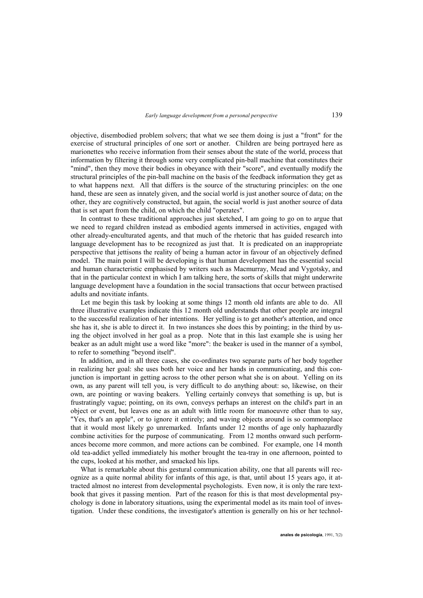objective, disembodied problem solvers; that what we see them doing is just a "front" for the exercise of structural principles of one sort or another. Children are being portrayed here as marionettes who receive information from their senses about the state of the world, process that information by filtering it through some very complicated pin-ball machine that constitutes their "mind", then they move their bodies in obeyance with their "score", and eventually modify the structural principles of the pin-ball machine on the basis of the feedback information they get as to what happens next. All that differs is the source of the structuring principles: on the one hand, these are seen as innately given, and the social world is just another source of data; on the other, they are cognitively constructed, but again, the social world is just another source of data that is set apart from the child, on which the child "operates".

 In contrast to these traditional approaches just sketched, I am going to go on to argue that we need to regard children instead as embodied agents immersed in activities, engaged with other already-enculturated agents, and that much of the rhetoric that has guided research into language development has to be recognized as just that. It is predicated on an inappropriate perspective that jettisons the reality of being a human actor in favour of an objectively defined model. The main point I will be developing is that human development has the essential social and human characteristic emphasised by writers such as Macmurray, Mead and Vygotsky, and that in the particular context in which I am talking here, the sorts of skills that might underwrite language development have a foundation in the social transactions that occur between practised adults and novitiate infants.

 Let me begin this task by looking at some things 12 month old infants are able to do. All three illustrative examples indicate this 12 month old understands that other people are integral to the successful realization of her intentions. Her yelling is to get another's attention, and once she has it, she is able to direct it. In two instances she does this by pointing; in the third by using the object involved in her goal as a prop. Note that in this last example she is using her beaker as an adult might use a word like "more": the beaker is used in the manner of a symbol, to refer to something "beyond itself".

 In addition, and in all three cases, she co-ordinates two separate parts of her body together in realizing her goal: she uses both her voice and her hands in communicating, and this conjunction is important in getting across to the other person what she is on about. Yelling on its own, as any parent will tell you, is very difficult to do anything about: so, likewise, on their own, are pointing or waving beakers. Yelling certainly conveys that something is up, but is frustratingly vague; pointing, on its own, conveys perhaps an interest on the child's part in an object or event, but leaves one as an adult with little room for manoeuvre other than to say, "Yes, that's an apple", or to ignore it entirely; and waving objects around is so commonplace that it would most likely go unremarked. Infants under 12 months of age only haphazardly combine activities for the purpose of communicating. From 12 months onward such performances become more common, and more actions can be combined. For example, one 14 month old tea-addict yelled immediately his mother brought the tea-tray in one afternoon, pointed to the cups, looked at his mother, and smacked his lips.

 What is remarkable about this gestural communication ability, one that all parents will recognize as a quite normal ability for infants of this age, is that, until about 15 years ago, it attracted almost no interest from developmental psychologists. Even now, it is only the rare textbook that gives it passing mention. Part of the reason for this is that most developmental psychology is done in laboratory situations, using the experimental model as its main tool of investigation. Under these conditions, the investigator's attention is generally on his or her technol-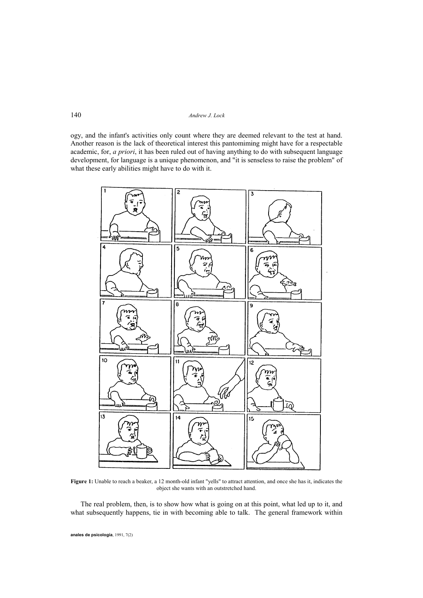ogy, and the infant's activities only count where they are deemed relevant to the test at hand. Another reason is the lack of theoretical interest this pantomiming might have for a respectable academic, for, *a priori*, it has been ruled out of having anything to do with subsequent language development, for language is a unique phenomenon, and "it is senseless to raise the problem" of what these early abilities might have to do with it.



**Figure 1:** Unable to reach a beaker, a 12 month-old infant "yells" to attract attention, and once she has it, indicates the object she wants with an outstretched hand.

 The real problem, then, is to show how what is going on at this point, what led up to it, and what subsequently happens, tie in with becoming able to talk. The general framework within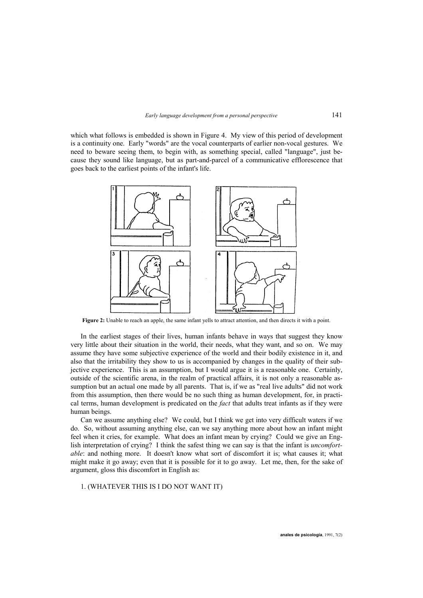which what follows is embedded is shown in Figure 4. My view of this period of development is a continuity one. Early "words" are the vocal counterparts of earlier non-vocal gestures. We need to beware seeing them, to begin with, as something special, called "language", just because they sound like language, but as part-and-parcel of a communicative efflorescence that goes back to the earliest points of the infant's life.



**Figure 2:** Unable to reach an apple, the same infant yells to attract attention, and then directs it with a point.

 In the earliest stages of their lives, human infants behave in ways that suggest they know very little about their situation in the world, their needs, what they want, and so on. We may assume they have some subjective experience of the world and their bodily existence in it, and also that the irritability they show to us is accompanied by changes in the quality of their subjective experience. This is an assumption, but I would argue it is a reasonable one. Certainly, outside of the scientific arena, in the realm of practical affairs, it is not only a reasonable assumption but an actual one made by all parents. That is, if we as "real live adults" did not work from this assumption, then there would be no such thing as human development, for, in practical terms, human development is predicated on the *fact* that adults treat infants as if they were human beings.

 Can we assume anything else? We could, but I think we get into very difficult waters if we do. So, without assuming anything else, can we say anything more about how an infant might feel when it cries, for example. What does an infant mean by crying? Could we give an English interpretation of crying? I think the safest thing we can say is that the infant is *uncomfortable*: and nothing more. It doesn't know what sort of discomfort it is; what causes it; what might make it go away; even that it is possible for it to go away. Let me, then, for the sake of argument, gloss this discomfort in English as:

1. (WHATEVER THIS IS I DO NOT WANT IT)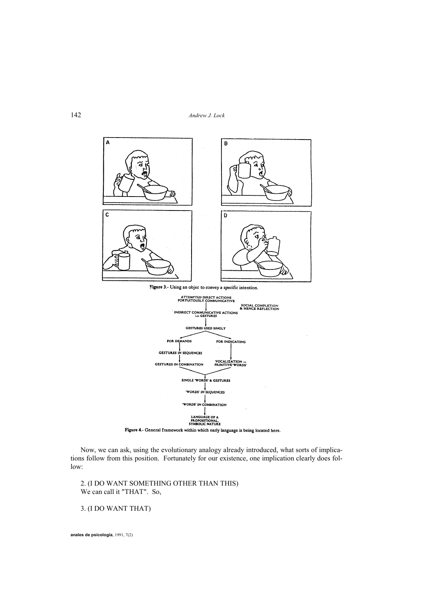

Figure 4.- General framework within which early language is being located here.

 Now, we can ask, using the evolutionary analogy already introduced, what sorts of implications follow from this position. Fortunately for our existence, one implication clearly does follow:

 2. (I DO WANT SOMETHING OTHER THAN THIS) We can call it "THAT". So,

# 3. (I DO WANT THAT)

**anales de psicología**, 1991, 7(2)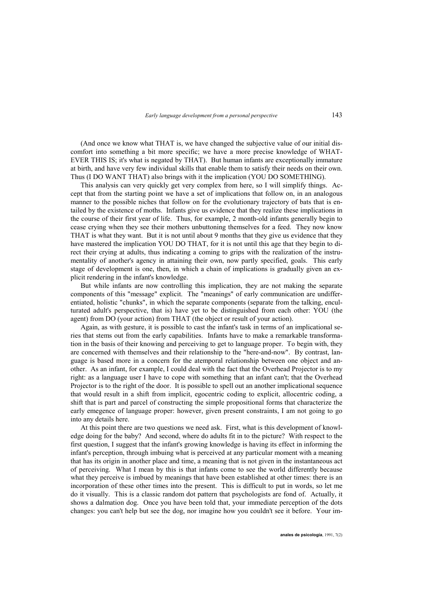(And once we know what THAT is, we have changed the subjective value of our initial discomfort into something a bit more specific; we have a more precise knowledge of WHAT-EVER THIS IS; it's what is negated by THAT). But human infants are exceptionally immature at birth, and have very few individual skills that enable them to satisfy their needs on their own. Thus (I DO WANT THAT) also brings with it the implication (YOU DO SOMETHING).

 This analysis can very quickly get very complex from here, so I will simplify things. Accept that from the starting point we have a set of implications that follow on, in an analogous manner to the possible niches that follow on for the evolutionary trajectory of bats that is entailed by the existence of moths. Infants give us evidence that they realize these implications in the course of their first year of life. Thus, for example, 2 month-old infants generally begin to cease crying when they see their mothers unbuttoning themselves for a feed. They now know THAT is what they want. But it is not until about 9 months that they give us evidence that they have mastered the implication YOU DO THAT, for it is not until this age that they begin to direct their crying at adults, thus indicating a coming to grips with the realization of the instrumentality of another's agency in attaining their own, now partly specified, goals. This early stage of development is one, then, in which a chain of implications is gradually given an explicit rendering in the infant's knowledge.

 But while infants are now controlling this implication, they are not making the separate components of this "message" explicit. The "meanings" of early communication are undifferentiated, holistic "chunks", in which the separate components (separate from the talking, enculturated adult's perspective, that is) have yet to be distinguished from each other: YOU (the agent) from DO (your action) from THAT (the object or result of your action).

 Again, as with gesture, it is possible to cast the infant's task in terms of an implicational series that stems out from the early capabilities. Infants have to make a remarkable transformation in the basis of their knowing and perceiving to get to language proper. To begin with, they are concerned with themselves and their relationship to the "here-and-now". By contrast, language is based more in a concern for the atemporal relationship between one object and another. As an infant, for example, I could deal with the fact that the Overhead Projector is to my right: as a language user I have to cope with something that an infant can't; that the Overhead Projector is to the right of the door. It is possible to spell out an another implicational sequence that would result in a shift from implicit, egocentric coding to explicit, allocentric coding, a shift that is part and parcel of constructing the simple propositional forms that characterize the early emegence of language proper: however, given present constraints, I am not going to go into any details here.

 At this point there are two questions we need ask. First, what is this development of knowledge doing for the baby? And second, where do adults fit in to the picture? With respect to the first question, I suggest that the infant's growing knowledge is having its effect in informing the infant's perception, through imbuing what is perceived at any particular moment with a meaning that has its origin in another place and time, a meaning that is not given in the instantaneous act of perceiving. What I mean by this is that infants come to see the world differently because what they perceive is imbued by meanings that have been established at other times: there is an incorporation of these other times into the present. This is difficult to put in words, so let me do it visually. This is a classic random dot pattern that psychologists are fond of. Actually, it shows a dalmation dog. Once you have been told that, your immediate perception of the dots changes: you can't help but see the dog, nor imagine how you couldn't see it before. Your im-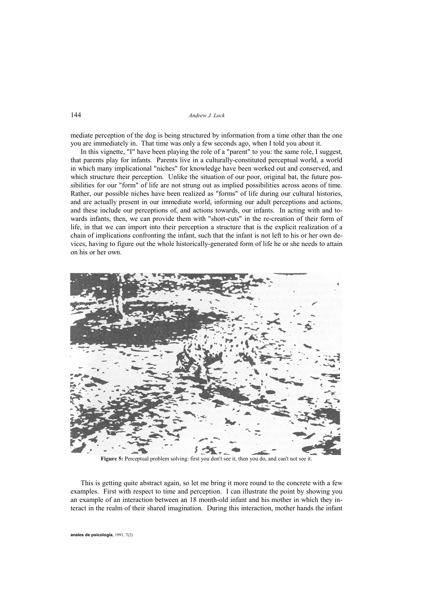mediate perception of the dog is being structured by information from a time other than the one you are immediately in. That time was only a few seconds ago, when I told you about it.

 In this vignette, "I" have been playing the role of a "parent" to you: the same role, I suggest, that parents play for infants. Parents live in a culturally-constituted perceptual world, a world in which many implicational "niches" for knowledge have been worked out and conserved, and which structure their perception. Unlike the situation of our poor, original bat, the future possibilities for our "form" of life are not strung out as implied possibilities across aeons of time. Rather, our possible niches have been realized as "forms" of life during our cultural histories, and are actually present in our immediate world, informing our adult perceptions and actions, and these include our perceptions of, and actions towards, our infants. In acting with and towards infants, then, we can provide them with "short-cuts" in the re-creation of their form of life, in that we can import into their perception a structure that is the explicit realization of a chain of implications confronting the infant, such that the infant is not left to his or her own devices, having to figure out the whole historically-generated form of life he or she needs to attain on his or her own.



**Figure 5:** Perceptual problem solving: first you don't see it, then you do, and can't not see it.

 This is getting quite abstract again, so let me bring it more round to the concrete with a few examples. First with respect to time and perception. I can illustrate the point by showing you an example of an interaction between an 18 month-old infant and his mother in which they interact in the realm of their shared imagination. During this interaction, mother hands the infant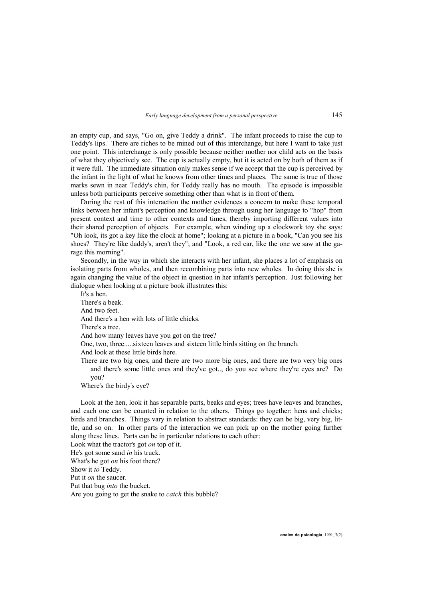an empty cup, and says, "Go on, give Teddy a drink". The infant proceeds to raise the cup to Teddy's lips. There are riches to be mined out of this interchange, but here I want to take just one point. This interchange is only possible because neither mother nor child acts on the basis of what they objectively see. The cup is actually empty, but it is acted on by both of them as if it were full. The immediate situation only makes sense if we accept that the cup is perceived by the infant in the light of what he knows from other times and places. The same is true of those marks sewn in near Teddy's chin, for Teddy really has no mouth. The episode is impossible unless both participants perceive something other than what is in front of them.

 During the rest of this interaction the mother evidences a concern to make these temporal links between her infant's perception and knowledge through using her language to "hop" from present context and time to other contexts and times, thereby importing different values into their shared perception of objects. For example, when winding up a clockwork toy she says: "Oh look, its got a key like the clock at home"; looking at a picture in a book, "Can you see his shoes? They're like daddy's, aren't they"; and "Look, a red car, like the one we saw at the garage this morning".

 Secondly, in the way in which she interacts with her infant, she places a lot of emphasis on isolating parts from wholes, and then recombining parts into new wholes. In doing this she is again changing the value of the object in question in her infant's perception. Just following her dialogue when looking at a picture book illustrates this:

It's a hen.

There's a beak.

And two feet.

And there's a hen with lots of little chicks.

There's a tree.

And how many leaves have you got on the tree?

One, two, three.....sixteen leaves and sixteen little birds sitting on the branch.

And look at these little birds here.

There are two big ones, and there are two more big ones, and there are two very big ones and there's some little ones and they've got.., do you see where they're eyes are? Do you?

Where's the birdy's eye?

 Look at the hen, look it has separable parts, beaks and eyes; trees have leaves and branches, and each one can be counted in relation to the others. Things go together: hens and chicks; birds and branches. Things vary in relation to abstract standards: they can be big, very big, little, and so on. In other parts of the interaction we can pick up on the mother going further along these lines. Parts can be in particular relations to each other:

Look what the tractor's got *on* top of it.

He's got some sand *in* his truck.

What's he got *on* his foot there?

Show it *to* Teddy.

Put it *on* the saucer.

Put that bug *into* the bucket.

Are you going to get the snake to *catch* this bubble?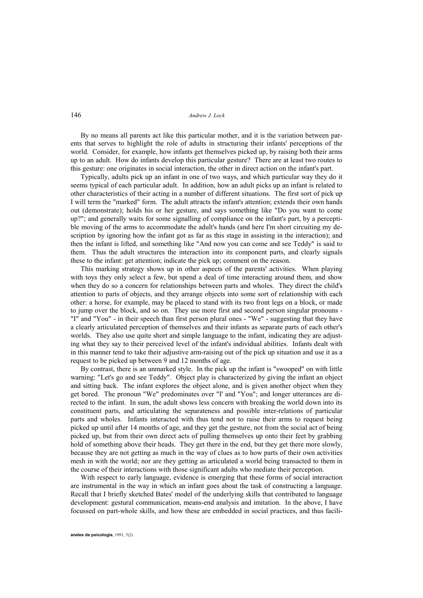By no means all parents act like this particular mother, and it is the variation between parents that serves to highlight the role of adults in structuring their infants' perceptions of the world. Consider, for example, how infants get themselves picked up, by raising both their arms up to an adult. How do infants develop this particular gesture? There are at least two routes to this gesture: one originates in social interaction, the other in direct action on the infant's part.

 Typically, adults pick up an infant in one of two ways, and which particular way they do it seems typical of each particular adult. In addition, how an adult picks up an infant is related to other characteristics of their acting in a number of different situations. The first sort of pick up I will term the "marked" form. The adult attracts the infant's attention; extends their own hands out (demonstrate); holds his or her gesture, and says something like "Do you want to come up?"; and generally waits for some signalling of compliance on the infant's part, by a perceptible moving of the arms to accommodate the adult's hands (and here I'm short circuiting my description by ignoring how the infant got as far as this stage in assisting in the interaction); and then the infant is lifted, and something like "And now you can come and see Teddy" is said to them. Thus the adult structures the interaction into its component parts, and clearly signals these to the infant: get attention; indicate the pick up; comment on the reason.

 This marking strategy shows up in other aspects of the parents' activities. When playing with toys they only select a few, but spend a deal of time interacting around them, and show when they do so a concern for relationships between parts and wholes. They direct the child's attention to parts of objects, and they arrange objects into some sort of relationship with each other: a horse, for example, may be placed to stand with its two front legs on a block, or made to jump over the block, and so on. They use more first and second person singular pronouns - "I" and "You" - in their speech than first person plural ones - "We" - suggesting that they have a clearly articulated perception of themselves and their infants as separate parts of each other's worlds. They also use quite short and simple language to the infant, indicating they are adjusting what they say to their perceived level of the infant's individual abilities. Infants dealt with in this manner tend to take their adjustive arm-raising out of the pick up situation and use it as a request to be picked up between 9 and 12 months of age.

 By contrast, there is an unmarked style. In the pick up the infant is "swooped" on with little warning: "Let's go and see Teddy". Object play is characterized by giving the infant an object and sitting back. The infant explores the object alone, and is given another object when they get bored. The pronoun "We" predominates over "I' and "You"; and longer utterances are directed to the infant. In sum, the adult shows less concern with breaking the world down into its constituent parts, and articulating the separateness and possible inter-relations of particular parts and wholes. Infants interacted with thus tend not to raise their arms to request being picked up until after 14 months of age, and they get the gesture, not from the social act of being picked up, but from their own direct acts of pulling themselves up onto their feet by grabbing hold of something above their heads. They get there in the end, but they get there more slowly, because they are not getting as much in the way of clues as to how parts of their own activities mesh in with the world; nor are they getting as articulated a world being transacted to them in the course of their interactions with those significant adults who mediate their perception.

 With respect to early language, evidence is emerging that these forms of social interaction are instrumental in the way in which an infant goes about the task of constructing a language. Recall that I briefly sketched Bates' model of the underlying skills that contributed to language development: gestural communication, means-end analysis and imitation. In the above, I have focussed on part-whole skills, and how these are embedded in social practices, and thus facili-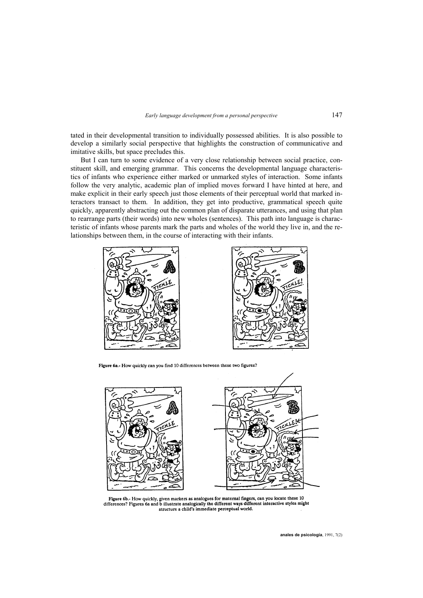tated in their developmental transition to individually possessed abilities. It is also possible to develop a similarly social perspective that highlights the construction of communicative and imitative skills, but space precludes this.

 But I can turn to some evidence of a very close relationship between social practice, constituent skill, and emerging grammar. This concerns the developmental language characteristics of infants who experience either marked or unmarked styles of interaction. Some infants follow the very analytic, academic plan of implied moves forward I have hinted at here, and make explicit in their early speech just those elements of their perceptual world that marked interactors transact to them. In addition, they get into productive, grammatical speech quite quickly, apparently abstracting out the common plan of disparate utterances, and using that plan to rearrange parts (their words) into new wholes (sentences). This path into language is characteristic of infants whose parents mark the parts and wholes of the world they live in, and the relationships between them, in the course of interacting with their infants.





Figure 6a.- How quickly can you find 10 differences between these two figures?



Figure 6b.- How quickly, given markers as analogues for maternal fingers, can you locate these 10 rigure 60.- How quickly, given markets as all outgoines for material impers, can you hocked these for differences? Figures 6a and billustrate analogically the different ways different interactive styles might structure a c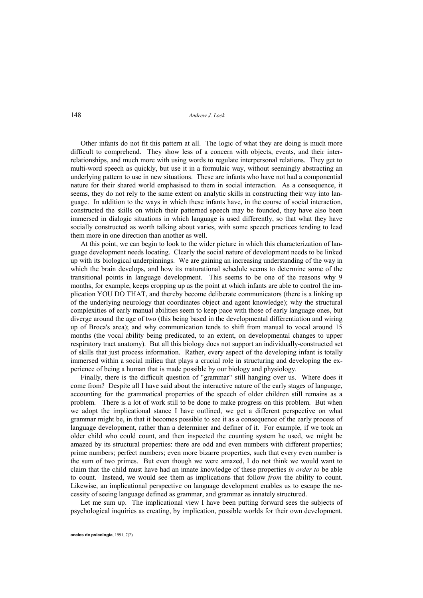Other infants do not fit this pattern at all. The logic of what they are doing is much more difficult to comprehend. They show less of a concern with objects, events, and their interrelationships, and much more with using words to regulate interpersonal relations. They get to multi-word speech as quickly, but use it in a formulaic way, without seemingly abstracting an underlying pattern to use in new situations. These are infants who have not had a componential nature for their shared world emphasised to them in social interaction. As a consequence, it seems, they do not rely to the same extent on analytic skills in constructing their way into language. In addition to the ways in which these infants have, in the course of social interaction, constructed the skills on which their patterned speech may be founded, they have also been immersed in dialogic situations in which language is used differently, so that what they have socially constructed as worth talking about varies, with some speech practices tending to lead them more in one direction than another as well.

 At this point, we can begin to look to the wider picture in which this characterization of language development needs locating. Clearly the social nature of development needs to be linked up with its biological underpinnings. We are gaining an increasing understanding of the way in which the brain develops, and how its maturational schedule seems to determine some of the transitional points in language development. This seems to be one of the reasons why 9 months, for example, keeps cropping up as the point at which infants are able to control the implication YOU DO THAT, and thereby become deliberate communicators (there is a linking up of the underlying neurology that coordinates object and agent knowledge); why the structural complexities of early manual abilities seem to keep pace with those of early language ones, but diverge around the age of two (this being based in the developmental differentiation and wiring up of Broca's area); and why communication tends to shift from manual to vocal around 15 months (the vocal ability being predicated, to an extent, on developmental changes to upper respiratory tract anatomy). But all this biology does not support an individually-constructed set of skills that just process information. Rather, every aspect of the developing infant is totally immersed within a social milieu that plays a crucial role in structuring and developing the experience of being a human that is made possible by our biology and physiology.

 Finally, there is the difficult question of "grammar" still hanging over us. Where does it come from? Despite all I have said about the interactive nature of the early stages of language, accounting for the grammatical properties of the speech of older children still remains as a problem. There is a lot of work still to be done to make progress on this problem. But when we adopt the implicational stance I have outlined, we get a different perspective on what grammar might be, in that it becomes possible to see it as a consequence of the early process of language development, rather than a determiner and definer of it. For example, if we took an older child who could count, and then inspected the counting system he used, we might be amazed by its structural properties: there are odd and even numbers with different properties; prime numbers; perfect numbers; even more bizarre properties, such that every even number is the sum of two primes. But even though we were amazed, I do not think we would want to claim that the child must have had an innate knowledge of these properties *in order to* be able to count. Instead, we would see them as implications that follow *from* the ability to count. Likewise, an implicational perspective on language development enables us to escape the necessity of seeing language defined as grammar, and grammar as innately structured.

 Let me sum up. The implicational view I have been putting forward sees the subjects of psychological inquiries as creating, by implication, possible worlds for their own development.